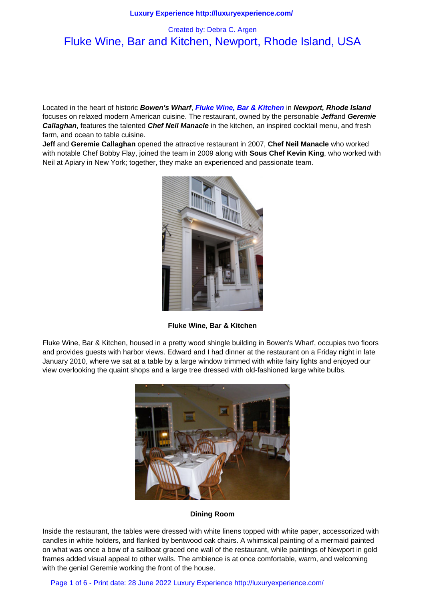# Fluke Wine, Bar and Kitchen, Newport, Rhode Island, USA

Located in the heart of historic **Bowen's Wharf**, **Fluke Wine, Bar & Kitchen** in **Newport, Rhode Island** focuses on relaxed modern American cuisine. The restaurant, owned by the personable **Jeff**and **Geremie Callaghan**, features the talented **Chef Neil Manacle** in the kitchen, an inspired cocktail menu, and fresh farm, and ocean to table cuisine.

**Jeff** and **Geremie Callaghan** opened the attract[ive restaurant in 2007,](http://www.flukewinebar.com/) **Chef Neil Manacle** who worked with notable Chef Bobby Flay, joined the team in 2009 along with **Sous Chef Kevin King**, who worked with Neil at Apiary in New York; together, they make an experienced and passionate team.



**Fluke Wine, Bar & Kitchen**

Fluke Wine, Bar & Kitchen, housed in a pretty wood shingle building in Bowen's Wharf, occupies two floors and provides guests with harbor views. Edward and I had dinner at the restaurant on a Friday night in late January 2010, where we sat at a table by a large window trimmed with white fairy lights and enjoyed our view overlooking the quaint shops and a large tree dressed with old-fashioned large white bulbs.



### **Dining Room**

Inside the restaurant, the tables were dressed with white linens topped with white paper, accessorized with candles in white holders, and flanked by bentwood oak chairs. A whimsical painting of a mermaid painted on what was once a bow of a sailboat graced one wall of the restaurant, while paintings of Newport in gold frames added visual appeal to other walls. The ambience is at once comfortable, warm, and welcoming with the genial Geremie working the front of the house.

Page 1 of 6 - Print date: 28 June 2022 Luxury Experience http://luxuryexperience.com/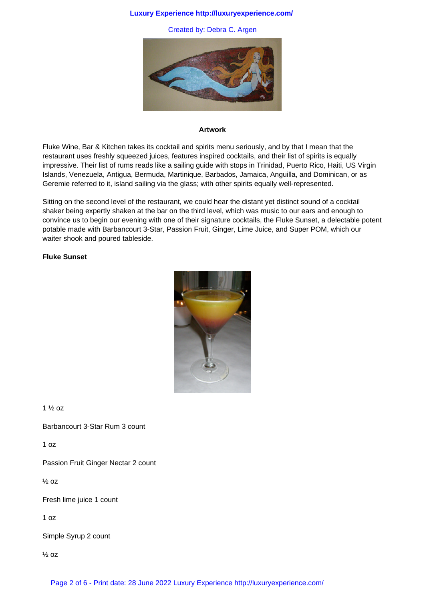### **Luxury Experience http://luxuryexperience.com/**

Created by: Debra C. Argen



### **Artwork**

Fluke Wine, Bar & Kitchen takes its cocktail and spirits menu seriously, and by that I mean that the restaurant uses freshly squeezed juices, features inspired cocktails, and their list of spirits is equally impressive. Their list of rums reads like a sailing guide with stops in Trinidad, Puerto Rico, Haiti, US Virgin Islands, Venezuela, Antigua, Bermuda, Martinique, Barbados, Jamaica, Anguilla, and Dominican, or as Geremie referred to it, island sailing via the glass; with other spirits equally well-represented.

Sitting on the second level of the restaurant, we could hear the distant yet distinct sound of a cocktail shaker being expertly shaken at the bar on the third level, which was music to our ears and enough to convince us to begin our evening with one of their signature cocktails, the Fluke Sunset, a delectable potent potable made with Barbancourt 3-Star, Passion Fruit, Ginger, Lime Juice, and Super POM, which our waiter shook and poured tableside.

# **Fluke Sunset**



1 ½ oz

Barbancourt 3-Star Rum 3 count

1 oz

Passion Fruit Ginger Nectar 2 count

½ oz

Fresh lime juice 1 count

1 oz

Simple Syrup 2 count

½ oz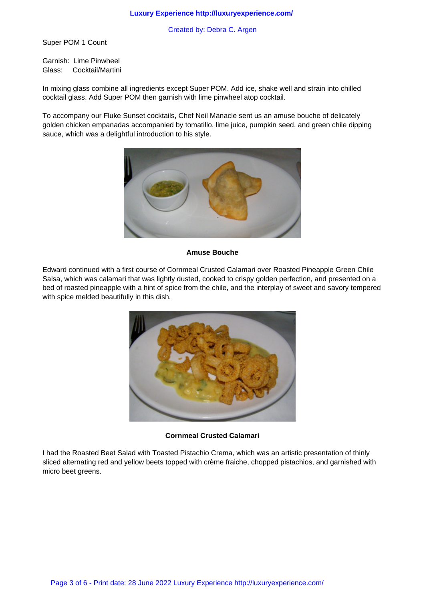Created by: Debra C. Argen

Super POM 1 Count

Garnish: Lime Pinwheel Glass: Cocktail/Martini

In mixing glass combine all ingredients except Super POM. Add ice, shake well and strain into chilled cocktail glass. Add Super POM then garnish with lime pinwheel atop cocktail.

To accompany our Fluke Sunset cocktails, Chef Neil Manacle sent us an amuse bouche of delicately golden chicken empanadas accompanied by tomatillo, lime juice, pumpkin seed, and green chile dipping sauce, which was a delightful introduction to his style.



#### **Amuse Bouche**

Edward continued with a first course of Cornmeal Crusted Calamari over Roasted Pineapple Green Chile Salsa, which was calamari that was lightly dusted, cooked to crispy golden perfection, and presented on a bed of roasted pineapple with a hint of spice from the chile, and the interplay of sweet and savory tempered with spice melded beautifully in this dish.



**Cornmeal Crusted Calamari**

I had the Roasted Beet Salad with Toasted Pistachio Crema, which was an artistic presentation of thinly sliced alternating red and yellow beets topped with crème fraiche, chopped pistachios, and garnished with micro beet greens.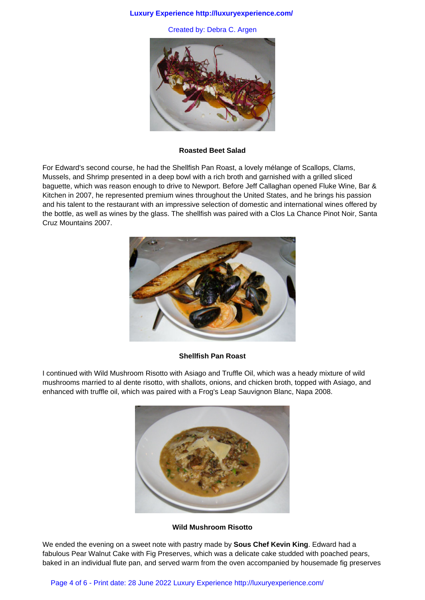#### **Luxury Experience http://luxuryexperience.com/**

Created by: Debra C. Argen



#### **Roasted Beet Salad**

For Edward's second course, he had the Shellfish Pan Roast, a lovely mélange of Scallops, Clams, Mussels, and Shrimp presented in a deep bowl with a rich broth and garnished with a grilled sliced baguette, which was reason enough to drive to Newport. Before Jeff Callaghan opened Fluke Wine, Bar & Kitchen in 2007, he represented premium wines throughout the United States, and he brings his passion and his talent to the restaurant with an impressive selection of domestic and international wines offered by the bottle, as well as wines by the glass. The shellfish was paired with a Clos La Chance Pinot Noir, Santa Cruz Mountains 2007.



#### **Shellfish Pan Roast**

I continued with Wild Mushroom Risotto with Asiago and Truffle Oil, which was a heady mixture of wild mushrooms married to al dente risotto, with shallots, onions, and chicken broth, topped with Asiago, and enhanced with truffle oil, which was paired with a Frog's Leap Sauvignon Blanc, Napa 2008.



## **Wild Mushroom Risotto**

We ended the evening on a sweet note with pastry made by **Sous Chef Kevin King**. Edward had a fabulous Pear Walnut Cake with Fig Preserves, which was a delicate cake studded with poached pears, baked in an individual flute pan, and served warm from the oven accompanied by housemade fig preserves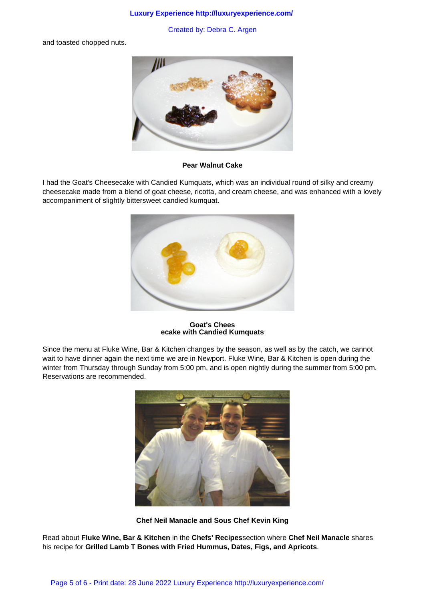### **Luxury Experience http://luxuryexperience.com/**

Created by: Debra C. Argen

and toasted chopped nuts.



**Pear Walnut Cake**

I had the Goat's Cheesecake with Candied Kumquats, which was an individual round of silky and creamy cheesecake made from a blend of goat cheese, ricotta, and cream cheese, and was enhanced with a lovely accompaniment of slightly bittersweet candied kumquat.



**Goat's Chees ecake with Candied Kumquats**

Since the menu at Fluke Wine, Bar & Kitchen changes by the season, as well as by the catch, we cannot wait to have dinner again the next time we are in Newport. Fluke Wine, Bar & Kitchen is open during the winter from Thursday through Sunday from 5:00 pm, and is open nightly during the summer from 5:00 pm. Reservations are recommended.



**Chef Neil Manacle and Sous Chef Kevin King**

Read about **Fluke Wine, Bar & Kitchen** in the **Chefs' Recipes**section where **Chef Neil Manacle** shares his recipe for **Grilled Lamb T Bones with Fried Hummus, Dates, Figs, and Apricots**.